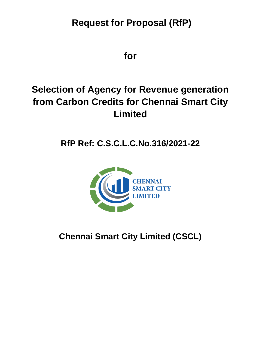# **Request for Proposal (RfP)**

**for**

# **Selection of Agency for Revenue generation from Carbon Credits for Chennai Smart City Limited**

# **RfP Ref: C.S.C.L.C.No.316/2021-22**



**Chennai Smart City Limited (CSCL)**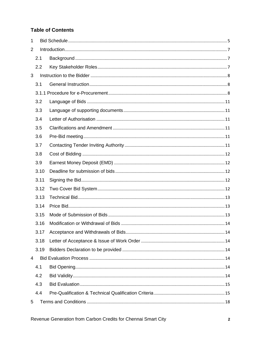## **Table of Contents**

| $\mathbf{1}$ |      |  |
|--------------|------|--|
| 2            |      |  |
|              | 2.1  |  |
|              | 2.2  |  |
| 3            |      |  |
|              | 3.1  |  |
|              |      |  |
|              | 3.2  |  |
|              | 3.3  |  |
|              | 3.4  |  |
|              | 3.5  |  |
|              | 3.6  |  |
|              | 3.7  |  |
|              | 3.8  |  |
|              | 3.9  |  |
|              | 3.10 |  |
|              | 3.11 |  |
|              | 3.12 |  |
|              | 3.13 |  |
|              | 3.14 |  |
|              | 3.15 |  |
|              | 3.16 |  |
|              | 3.17 |  |
|              | 3.18 |  |
|              | 3.19 |  |
| 4            |      |  |
|              | 4.1  |  |
|              | 4.2  |  |
|              | 4.3  |  |
|              | 4.4  |  |
| 5            |      |  |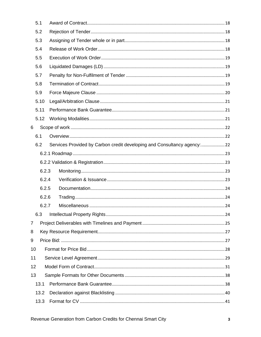|                | 5.1  |       |                                                                       |  |
|----------------|------|-------|-----------------------------------------------------------------------|--|
|                | 5.2  |       |                                                                       |  |
|                | 5.3  |       |                                                                       |  |
|                | 5.4  |       |                                                                       |  |
|                | 5.5  |       |                                                                       |  |
|                | 5.6  |       |                                                                       |  |
|                | 5.7  |       |                                                                       |  |
|                | 5.8  |       |                                                                       |  |
|                | 5.9  |       |                                                                       |  |
|                | 5.10 |       |                                                                       |  |
|                | 5.11 |       |                                                                       |  |
|                | 5.12 |       |                                                                       |  |
| 6              |      |       |                                                                       |  |
|                | 6.1  |       |                                                                       |  |
|                | 6.2  |       | Services Provided by Carbon credit developing and Consultancy agency: |  |
|                |      |       |                                                                       |  |
|                |      |       |                                                                       |  |
|                |      | 6.2.3 |                                                                       |  |
|                |      | 6.2.4 |                                                                       |  |
|                |      | 6.2.5 |                                                                       |  |
|                |      | 6.2.6 |                                                                       |  |
|                |      | 6.2.7 |                                                                       |  |
|                | 6.3  |       |                                                                       |  |
| $\overline{7}$ |      |       |                                                                       |  |
| 8              |      |       |                                                                       |  |
| 9              |      |       |                                                                       |  |
| 10             |      |       |                                                                       |  |
| 11             |      |       |                                                                       |  |
| 12             |      |       |                                                                       |  |
| 13             |      |       |                                                                       |  |
|                | 13.1 |       |                                                                       |  |
|                | 13.2 |       |                                                                       |  |
|                | 13.3 |       |                                                                       |  |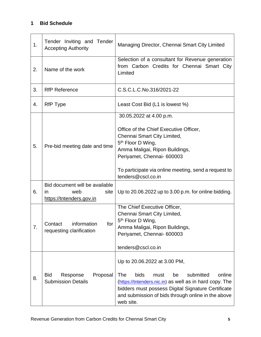## <span id="page-4-0"></span>**1 Bid Schedule**

| 1. | Tender Inviting and Tender<br><b>Accepting Authority</b>                         | Managing Director, Chennai Smart City Limited                                                                                                                                                                                                                                   |  |  |
|----|----------------------------------------------------------------------------------|---------------------------------------------------------------------------------------------------------------------------------------------------------------------------------------------------------------------------------------------------------------------------------|--|--|
| 2. | Name of the work                                                                 | Selection of a consultant for Revenue generation<br>from Carbon Credits for Chennai Smart City<br>Limited                                                                                                                                                                       |  |  |
| 3. | <b>RfP Reference</b>                                                             | C.S.C.L.C.No.316/2021-22                                                                                                                                                                                                                                                        |  |  |
| 4. | RfP Type                                                                         | Least Cost Bid (L1 is lowest %)                                                                                                                                                                                                                                                 |  |  |
| 5. | Pre-bid meeting date and time                                                    | 30.05.2022 at 4.00 p.m.<br>Office of the Chief Executive Officer,<br>Chennai Smart City Limited,<br>5 <sup>th</sup> Floor D Wing,<br>Amma Maligai, Ripon Buildings,<br>Periyamet, Chennai- 600003<br>To participate via online meeting, send a request to<br>tenders@cscl.co.in |  |  |
| 6. | Bid document will be available<br>web<br>site<br>in.<br>https://tntenders.gov.in | Up to 20.06.2022 up to 3.00 p.m. for online bidding.                                                                                                                                                                                                                            |  |  |
| 7. | information<br>Contact<br>tor<br>requesting clarification                        | The Chief Executive Officer,<br>Chennai Smart City Limited,<br>5 <sup>th</sup> Floor D Wing,<br>Amma Maligai, Ripon Buildings,<br>Periyamet, Chennai- 600003<br>tenders@cscl.co.in                                                                                              |  |  |
| 8. | <b>Bid</b><br>Response<br>Proposal<br><b>Submission Details</b>                  | Up to 20.06.2022 at 3.00 PM,<br>The<br>bids<br>submitted<br>online<br>must<br>be<br>(https://tntenders.nic.in) as well as in hard copy. The<br>bidders must possess Digital Signature Certificate<br>and submission of bids through online in the above<br>web site.            |  |  |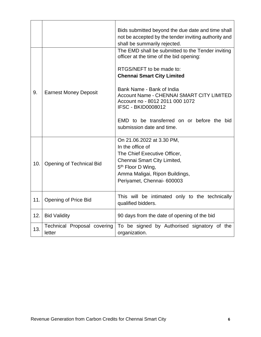|     |                                       | Bids submitted beyond the due date and time shall<br>not be accepted by the tender inviting authority and<br>shall be summarily rejected.                                                                                                                                                                                                                                                 |
|-----|---------------------------------------|-------------------------------------------------------------------------------------------------------------------------------------------------------------------------------------------------------------------------------------------------------------------------------------------------------------------------------------------------------------------------------------------|
| 9.  | <b>Earnest Money Deposit</b>          | The EMD shall be submitted to the Tender inviting<br>officer at the time of the bid opening:<br>RTGS/NEFT to be made to:<br><b>Chennai Smart City Limited</b><br>Bank Name - Bank of India<br><b>Account Name - CHENNAI SMART CITY LIMITED</b><br>Account no - 8012 2011 000 1072<br><b>IFSC - BKID0008012</b><br>EMD to be transferred on or before the bid<br>submission date and time. |
| 10. | <b>Opening of Technical Bid</b>       | On 21.06.2022 at 3.30 PM,<br>In the office of<br>The Chief Executive Officer,<br>Chennai Smart City Limited,<br>5 <sup>th</sup> Floor D Wing,<br>Amma Maligai, Ripon Buildings,<br>Periyamet, Chennai- 600003                                                                                                                                                                             |
| 11. | Opening of Price Bid                  | This will be intimated only to the technically<br>qualified bidders.                                                                                                                                                                                                                                                                                                                      |
| 12. | <b>Bid Validity</b>                   | 90 days from the date of opening of the bid                                                                                                                                                                                                                                                                                                                                               |
| 13. | Technical Proposal covering<br>letter | To be signed by Authorised signatory of the<br>organization.                                                                                                                                                                                                                                                                                                                              |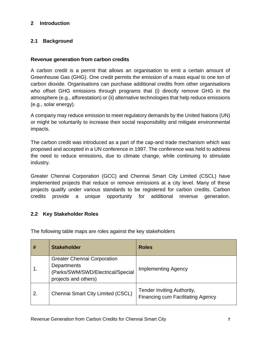#### <span id="page-6-0"></span>**2 Introduction**

## <span id="page-6-1"></span>**2.1 Background**

#### **Revenue generation from carbon credits**

A carbon credit is a permit that allows an organisation to emit a certain amount of Greenhouse Gas (GHG). One credit permits the emission of a mass equal to one ton of carbon dioxide. Organisations can purchase additional credits from other organisations who offset GHG emissions through programs that (i) directly remove GHG in the atmosphere (e.g., afforestation) or (ii) alternative technologies that help reduce emissions (e.g., solar energy).

A company may reduce emission to meet regulatory demands by the United Nations (UN) or might be voluntarily to increase their social responsibility and mitigate environmental impacts.

The carbon credit was introduced as a part of the cap-and trade mechanism which was proposed and accepted in a UN conference in 1997. The conference was held to address the need to reduce emissions, due to climate change, while continuing to stimulate industry.

Greater Chennai Corporation (GCC) and Chennai Smart City Limited (CSCL) have implemented projects that reduce or remove emissions at a city level. Many of these projects qualify under various standards to be registered for carbon credits. Carbon credits provide a unique opportunity for additional revenue generation.

## <span id="page-6-2"></span>**2.2 Key Stakeholder Roles**

The following table maps are roles against the key stakeholders

| #  | <b>Stakeholder</b>                                                                                             | <b>Roles</b>                                                           |
|----|----------------------------------------------------------------------------------------------------------------|------------------------------------------------------------------------|
|    | <b>Greater Chennai Corporation</b><br>Departments<br>(Parks/SWM/SWD/Electrical/Special<br>projects and others) | <b>Implementing Agency</b>                                             |
| 2. | <b>Chennai Smart City Limited (CSCL)</b>                                                                       | Tender Inviting Authority,<br><b>Financing cum Facilitating Agency</b> |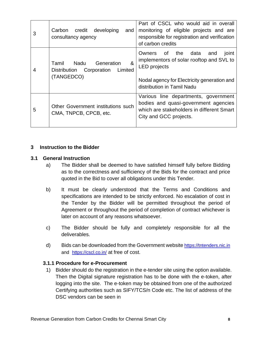| 3 | credit<br>developing<br>Carbon<br>and<br>consultancy agency                           | Part of CSCL who would aid in overall<br>monitoring of eligible projects and are<br>responsible for registration and verification<br>of carbon credits                                |
|---|---------------------------------------------------------------------------------------|---------------------------------------------------------------------------------------------------------------------------------------------------------------------------------------|
| 4 | Nadu<br>&<br>Tamil<br>Generation<br>Limited<br>Distribution Corporation<br>(TANGEDCO) | Owners of the<br>data<br>and<br>joint<br>implementors of solar rooftop and SVL to<br><b>LED</b> projects<br>Nodal agency for Electricity generation and<br>distribution in Tamil Nadu |
| 5 | Other Government institutions such<br>CMA, TNPCB, CPCB, etc.                          | Various line departments, government<br>bodies and quasi-government agencies<br>which are stakeholders in different Smart<br>City and GCC projects.                                   |

#### <span id="page-7-0"></span>**3 Instruction to the Bidder**

#### <span id="page-7-1"></span>**3.1 General Instruction**

- a) The Bidder shall be deemed to have satisfied himself fully before Bidding as to the correctness and sufficiency of the Bids for the contract and price quoted in the Bid to cover all obligations under this Tender.
- b) It must be clearly understood that the Terms and Conditions and specifications are intended to be strictly enforced. No escalation of cost in the Tender by the Bidder will be permitted throughout the period of Agreement or throughout the period of completion of contract whichever is later on account of any reasons whatsoever.
- c) The Bidder should be fully and completely responsible for all the deliverables.
- d) Bids can be downloaded from the Government website [https://tntenders.nic.in](https://tntenders.nic.in/) and <https://cscl.co.in/> at free of cost.

#### <span id="page-7-2"></span>**3.1.1 Procedure for e-Procurement**

1) Bidder should do the registration in the e-tender site using the option available. Then the Digital signature registration has to be done with the e-token, after logging into the site. The e-token may be obtained from one of the authorized Certifying authorities such as SIFY/TCS/n Code etc. The list of address of the DSC vendors can be seen in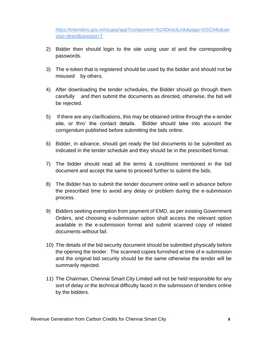https://tntenders.gov.in/nicgep/app?component=%24DirectLink&page=DSCInfo&ser vice=direct&session=T

- 2) Bidder then should login to the site using user id and the corresponding passwords.
- 3) The e-token that is registered should be used by the bidder and should not be misused by others.
- 4) After downloading the tender schedules, the Bidder should go through them carefully and then submit the documents as directed, otherwise, the bid will be rejected.
- 5) If there are any clarifications, this may be obtained online through the e-tender site, or thro' the contact details. Bidder should take into account the corrigendum published before submitting the bids online.
- 6) Bidder, in advance, should get ready the bid documents to be submitted as indicated in the tender schedule and they should be in the prescribed format.
- 7) The bidder should read all the terms & conditions mentioned in the bid document and accept the same to proceed further to submit the bids.
- 8) The Bidder has to submit the tender document online well in advance before the prescribed time to avoid any delay or problem during the e-submission process.
- 9) Bidders seeking exemption from payment of EMD, as per existing Government Orders, and choosing e-submission option shall access the relevant option available in the e-submission format and submit scanned copy of related documents without fail.
- 10) The details of the bid security document should be submitted physically before the opening the tender. The scanned copies furnished at time of e-submission and the original bid security should be the same otherwise the tender will be summarily rejected.
- 11) The Chairman, Chennai Smart City Limited will not be held responsible for any sort of delay or the technical difficulty faced in the submission of tenders online by the bidders.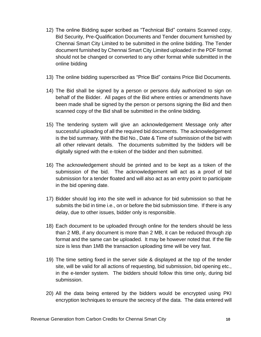- 12) The online Bidding super scribed as "Technical Bid" contains Scanned copy, Bid Security, Pre-Qualification Documents and Tender document furnished by Chennai Smart City Limited to be submitted in the online bidding. The Tender document furnished by Chennai Smart City Limited uploaded in the PDF format should not be changed or converted to any other format while submitted in the online bidding
- 13) The online bidding superscribed as "Price Bid" contains Price Bid Documents.
- 14) The Bid shall be signed by a person or persons duly authorized to sign on behalf of the Bidder. All pages of the Bid where entries or amendments have been made shall be signed by the person or persons signing the Bid and then scanned copy of the Bid shall be submitted in the online bidding.
- 15) The tendering system will give an acknowledgement Message only after successful uploading of all the required bid documents. The acknowledgement is the bid summary. With the Bid No., Date & Time of submission of the bid with all other relevant details. The documents submitted by the bidders will be digitally signed with the e-token of the bidder and then submitted.
- 16) The acknowledgement should be printed and to be kept as a token of the submission of the bid. The acknowledgement will act as a proof of bid submission for a tender floated and will also act as an entry point to participate in the bid opening date.
- 17) Bidder should log into the site well in advance for bid submission so that he submits the bid in time i.e., on or before the bid submission time. If there is any delay, due to other issues, bidder only is responsible.
- 18) Each document to be uploaded through online for the tenders should be less than 2 MB, if any document is more than 2 MB, it can be reduced through zip format and the same can be uploaded. It may be however noted that. If the file size is less than 1MB the transaction uploading time will be very fast.
- 19) The time setting fixed in the server side & displayed at the top of the tender site, will be valid for all actions of requesting, bid submission, bid opening etc., in the e-tender system. The bidders should follow this time only, during bid submission.
- 20) All the data being entered by the bidders would be encrypted using PKI encryption techniques to ensure the secrecy of the data. The data entered will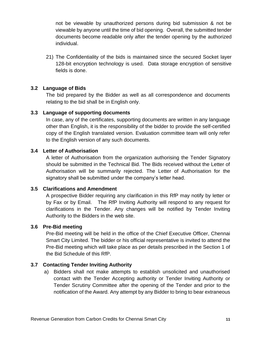not be viewable by unauthorized persons during bid submission & not be viewable by anyone until the time of bid opening. Overall, the submitted tender documents become readable only after the tender opening by the authorized individual.

21) The Confidentiality of the bids is maintained since the secured Socket layer 128-bit encryption technology is used. Data storage encryption of sensitive fields is done.

#### <span id="page-10-0"></span>**3.2 Language of Bids**

The bid prepared by the Bidder as well as all correspondence and documents relating to the bid shall be in English only.

#### <span id="page-10-1"></span>**3.3 Language of supporting documents**

In case, any of the certificates, supporting documents are written in any language other than English, it is the responsibility of the bidder to provide the self-certified copy of the English translated version. Evaluation committee team will only refer to the English version of any such documents.

#### <span id="page-10-2"></span>**3.4 Letter of Authorisation**

A letter of Authorisation from the organization authorising the Tender Signatory should be submitted in the Technical Bid. The Bids received without the Letter of Authorisation will be summarily rejected. The Letter of Authorisation for the signatory shall be submitted under the company's letter head.

#### <span id="page-10-3"></span>**3.5 Clarifications and Amendment**

A prospective Bidder requiring any clarification in this RfP may notify by letter or by Fax or by Email. The RfP Inviting Authority will respond to any request for clarifications in the Tender. Any changes will be notified by Tender Inviting Authority to the Bidders in the web site.

#### <span id="page-10-4"></span>**3.6 Pre-Bid meeting**

Pre-Bid meeting will be held in the office of the Chief Executive Officer, Chennai Smart City Limited. The bidder or his official representative is invited to attend the Pre-Bid meeting which will take place as per details prescribed in the Section 1 of the Bid Schedule of this RfP.

#### <span id="page-10-5"></span>**3.7 Contacting Tender Inviting Authority**

a) Bidders shall not make attempts to establish unsolicited and unauthorised contact with the Tender Accepting authority or Tender Inviting Authority or Tender Scrutiny Committee after the opening of the Tender and prior to the notification of the Award. Any attempt by any Bidder to bring to bear extraneous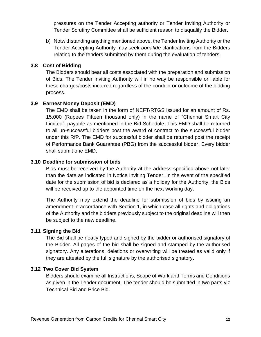pressures on the Tender Accepting authority or Tender Inviting Authority or Tender Scrutiny Committee shall be sufficient reason to disqualify the Bidder.

b) Notwithstanding anything mentioned above, the Tender Inviting Authority or the Tender Accepting Authority may seek *bonafide* clarifications from the Bidders relating to the tenders submitted by them during the evaluation of tenders.

#### <span id="page-11-0"></span>**3.8 Cost of Bidding**

The Bidders should bear all costs associated with the preparation and submission of Bids. The Tender Inviting Authority will in no way be responsible or liable for these charges/costs incurred regardless of the conduct or outcome of the bidding process.

#### <span id="page-11-1"></span>**3.9 Earnest Money Deposit (EMD)**

The EMD shall be taken in the form of NEFT/RTGS issued for an amount of Rs. 15,000 (Rupees Fifteen thousand only) in the name of "Chennai Smart City Limited", payable as mentioned in the Bid Schedule. This EMD shall be returned to all un-successful bidders post the award of contract to the successful bidder under this RfP. The EMD for successful bidder shall be returned post the receipt of Performance Bank Guarantee (PBG) from the successful bidder. Every bidder shall submit one EMD.

#### <span id="page-11-2"></span>**3.10 Deadline for submission of bids**

Bids must be received by the Authority at the address specified above not later than the date as indicated in Notice Inviting Tender. In the event of the specified date for the submission of bid is declared as a holiday for the Authority, the Bids will be received up to the appointed time on the next working day.

The Authority may extend the deadline for submission of bids by issuing an amendment in accordance with Section 1, in which case all rights and obligations of the Authority and the bidders previously subject to the original deadline will then be subject to the new deadline.

#### <span id="page-11-3"></span>**3.11 Signing the Bid**

The Bid shall be neatly typed and signed by the bidder or authorised signatory of the Bidder. All pages of the bid shall be signed and stamped by the authorised signatory. Any alterations, deletions or overwriting will be treated as valid only if they are attested by the full signature by the authorised signatory.

#### <span id="page-11-4"></span>**3.12 Two Cover Bid System**

Bidders should examine all Instructions, Scope of Work and Terms and Conditions as given in the Tender document. The tender should be submitted in two parts viz Technical Bid and Price Bid.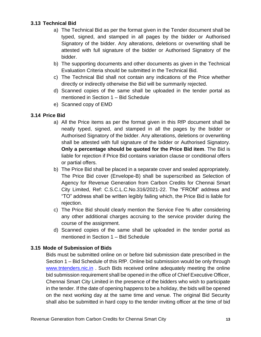## <span id="page-12-0"></span>**3.13 Technical Bid**

- a) The Technical Bid as per the format given in the Tender document shall be typed, signed, and stamped in all pages by the bidder or Authorised Signatory of the bidder. Any alterations, deletions or overwriting shall be attested with full signature of the bidder or Authorised Signatory of the bidder.
- b) The supporting documents and other documents as given in the Technical Evaluation Criteria should be submitted in the Technical Bid.
- c) The Technical Bid shall not contain any indications of the Price whether directly or indirectly otherwise the Bid will be summarily rejected.
- d) Scanned copies of the same shall be uploaded in the tender portal as mentioned in Section 1 – Bid Schedule
- e) Scanned copy of EMD

## <span id="page-12-1"></span>**3.14 Price Bid**

- a) All the Price items as per the format given in this RfP document shall be neatly typed, signed, and stamped in all the pages by the bidder or Authorised Signatory of the bidder. Any alterations, deletions or overwriting shall be attested with full signature of the bidder or Authorised Signatory. **Only a percentage should be quoted for the Price Bid item**. The Bid is liable for rejection if Price Bid contains variation clause or conditional offers or partial offers.
- b) The Price Bid shall be placed in a separate cover and sealed appropriately. The Price Bid cover (Envelope-B) shall be superscribed as Selection of Agency for Revenue Generation from Carbon Credits for Chennai Smart City Limited, Ref: C.S.C.L.C.No.316/2021-22. The "FROM" address and "TO" address shall be written legibly failing which, the Price Bid is liable for rejection.
- c) The Price Bid should clearly mention the Service Fee % after considering any other additional charges accruing to the service provider during the course of the assignment.
- d) Scanned copies of the same shall be uploaded in the tender portal as mentioned in Section 1 – Bid Schedule

## <span id="page-12-2"></span>**3.15 Mode of Submission of Bids**

Bids must be submitted online on or before bid submission date prescribed in the Section 1 – Bid Schedule of this RfP. Online bid submission would be only through [www.tntenders.nic.in](http://www.tntenders.nic.in/) . Such Bids received online adequately meeting the online bid submission requirement shall be opened in the office of Chief Executive Officer, Chennai Smart City Limited in the presence of the bidders who wish to participate in the tender. If the date of opening happens to be a holiday, the bids will be opened on the next working day at the same time and venue. The original Bid Security shall also be submitted in hard copy to the tender inviting officer at the time of bid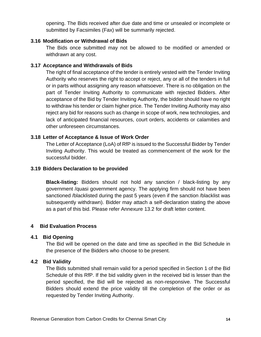opening. The Bids received after due date and time or unsealed or incomplete or submitted by Facsimiles (Fax) will be summarily rejected.

#### <span id="page-13-0"></span>**3.16 Modification or Withdrawal of Bids**

The Bids once submitted may not be allowed to be modified or amended or withdrawn at any cost.

## <span id="page-13-1"></span>**3.17 Acceptance and Withdrawals of Bids**

The right of final acceptance of the tender is entirely vested with the Tender Inviting Authority who reserves the right to accept or reject, any or all of the tenders in full or in parts without assigning any reason whatsoever. There is no obligation on the part of Tender Inviting Authority to communicate with rejected Bidders. After acceptance of the Bid by Tender Inviting Authority, the bidder should have no right to withdraw his tender or claim higher price. The Tender Inviting Authority may also reject any bid for reasons such as change in scope of work, new technologies, and lack of anticipated financial resources, court orders, accidents or calamities and other unforeseen circumstances.

## <span id="page-13-2"></span>**3.18 Letter of Acceptance & Issue of Work Order**

The Letter of Acceptance (LoA) of RfP is issued to the Successful Bidder by Tender Inviting Authority. This would be treated as commencement of the work for the successful bidder.

## <span id="page-13-3"></span>**3.19 Bidders Declaration to be provided**

**Black-listing:** Bidders should not hold any sanction / black-listing by any government /quasi government agency. The applying firm should not have been sanctioned /blacklisted during the past 5 years (even if the sanction /blacklist was subsequently withdrawn). Bidder may attach a self-declaration stating the above as a part of this bid. Please refer Annexure 13.2 for draft letter content.

## <span id="page-13-4"></span>**4 Bid Evaluation Process**

## <span id="page-13-5"></span>**4.1 Bid Opening**

The Bid will be opened on the date and time as specified in the Bid Schedule in the presence of the Bidders who choose to be present.

## <span id="page-13-6"></span>**4.2 Bid Validity**

The Bids submitted shall remain valid for a period specified in Section 1 of the Bid Schedule of this RfP. If the bid validity given in the received bid is lesser than the period specified, the Bid will be rejected as non-responsive. The Successful Bidders should extend the price validity till the completion of the order or as requested by Tender Inviting Authority.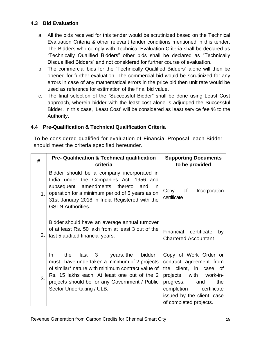## <span id="page-14-0"></span>**4.3 Bid Evaluation**

- a. All the bids received for this tender would be scrutinized based on the Technical Evaluation Criteria & other relevant tender conditions mentioned in this tender. The Bidders who comply with Technical Evaluation Criteria shall be declared as "Technically Qualified Bidders" other bids shall be declared as "Technically Disqualified Bidders" and not considered for further course of evaluation.
- b. The commercial bids for the "Technically Qualified Bidders" alone will then be opened for further evaluation. The commercial bid would be scrutinized for any errors in case of any mathematical errors in the price bid then unit rate would be used as reference for estimation of the final bid value.
- c. The final selection of the "Successful Bidder" shall be done using Least Cost approach, wherein bidder with the least cost alone is adjudged the Successful Bidder. In this case, 'Least Cost' will be considered as least service fee % to the Authority.

## <span id="page-14-1"></span>**4.4 Pre-Qualification & Technical Qualification Criteria**

To be considered qualified for evaluation of Financial Proposal, each Bidder should meet the criteria specified hereunder.

| #              | <b>Pre- Qualification &amp; Technical qualification</b><br>criteria                                                                                                                                                                                                                 | <b>Supporting Documents</b><br>to be provided                                                                                                                                                                                 |
|----------------|-------------------------------------------------------------------------------------------------------------------------------------------------------------------------------------------------------------------------------------------------------------------------------------|-------------------------------------------------------------------------------------------------------------------------------------------------------------------------------------------------------------------------------|
| 1 <sub>1</sub> | Bidder should be a company incorporated in<br>India under the Companies Act, 1956 and<br>amendments<br>thereto<br>subsequent<br>and<br>in<br>operation for a minimum period of 5 years as on<br>31st January 2018 in India Registered with the<br><b>GSTN Authorities.</b>          | 0f<br>Incorporation<br>Copy<br>certificate                                                                                                                                                                                    |
| 2.             | Bidder should have an average annual turnover<br>of at least Rs. 50 lakh from at least 3 out of the<br>last 5 audited financial years.                                                                                                                                              | Financial certificate<br>by<br><b>Chartered Accountant</b>                                                                                                                                                                    |
| 3.             | 3<br>In.<br>bidder<br>the<br>last<br>years, the<br>must have undertaken a minimum of 2 projects<br>of similar* nature with minimum contract value of<br>Rs. 15 lakhs each. At least one out of the 2<br>projects should be for any Government / Public<br>Sector Undertaking / ULB. | Copy of Work Order or<br>contract agreement from<br>client, in case of<br>the<br>projects<br>with<br>work-in-<br>the<br>progress,<br>and<br>completion<br>certificate<br>issued by the client, case<br>of completed projects. |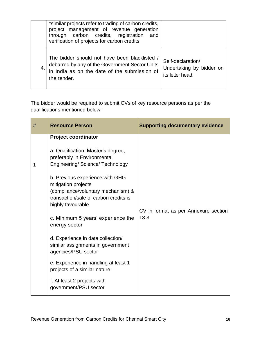|    | *similar projects refer to trading of carbon credits,<br>project management of revenue generation<br>through carbon credits, registration<br>and<br>verification of projects for carbon credits |                                                                   |
|----|-------------------------------------------------------------------------------------------------------------------------------------------------------------------------------------------------|-------------------------------------------------------------------|
| 4. | The bidder should not have been blacklisted /<br>debarred by any of the Government Sector Units<br>in India as on the date of the submission of<br>the tender.                                  | Self-declaration/<br>Undertaking by bidder on<br>its letter head. |

The bidder would be required to submit CVs of key resource persons as per the qualifications mentioned below:

| # | <b>Resource Person</b>                                                                                                                                                                                                                                                                                                                                                                                                                                                                                                                                                                         | <b>Supporting documentary evidence</b>       |
|---|------------------------------------------------------------------------------------------------------------------------------------------------------------------------------------------------------------------------------------------------------------------------------------------------------------------------------------------------------------------------------------------------------------------------------------------------------------------------------------------------------------------------------------------------------------------------------------------------|----------------------------------------------|
| 1 | <b>Project coordinator</b><br>a. Qualification: Master's degree,<br>preferably in Environmental<br><b>Engineering/Science/Technology</b><br>b. Previous experience with GHG<br>mitigation projects<br>(compliance/voluntary mechanism) &<br>transaction/sale of carbon credits is<br>highly favourable<br>c. Minimum 5 years' experience the<br>energy sector<br>d. Experience in data collection/<br>similar assignments in government<br>agencies/PSU sector<br>e. Experience in handling at least 1<br>projects of a similar nature<br>f. At least 2 projects with<br>government/PSU sector | CV in format as per Annexure section<br>13.3 |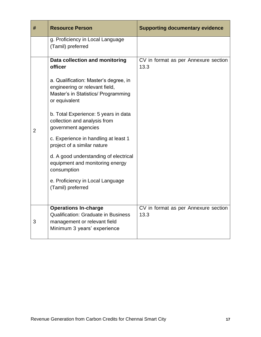| #              | <b>Resource Person</b>                                                                                                          | <b>Supporting documentary evidence</b>       |
|----------------|---------------------------------------------------------------------------------------------------------------------------------|----------------------------------------------|
|                | g. Proficiency in Local Language<br>(Tamil) preferred                                                                           |                                              |
|                | Data collection and monitoring<br>officer                                                                                       | CV in format as per Annexure section<br>13.3 |
|                | a. Qualification: Master's degree, in<br>engineering or relevant field,<br>Master's in Statistics/ Programming<br>or equivalent |                                              |
| $\overline{2}$ | b. Total Experience: 5 years in data<br>collection and analysis from<br>government agencies                                     |                                              |
|                | c. Experience in handling at least 1<br>project of a similar nature                                                             |                                              |
|                | d. A good understanding of electrical<br>equipment and monitoring energy<br>consumption                                         |                                              |
|                | e. Proficiency in Local Language<br>(Tamil) preferred                                                                           |                                              |
|                | <b>Operations In-charge</b>                                                                                                     | CV in format as per Annexure section         |
| 3              | <b>Qualification: Graduate in Business</b><br>management or relevant field                                                      | 13.3                                         |
|                | Minimum 3 years' experience                                                                                                     |                                              |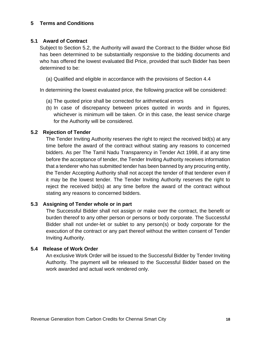#### <span id="page-17-0"></span>**5 Terms and Conditions**

#### <span id="page-17-1"></span>**5.1 Award of Contract**

Subject to Section 5.2, the Authority will award the Contract to the Bidder whose Bid has been determined to be substantially responsive to the bidding documents and who has offered the lowest evaluated Bid Price, provided that such Bidder has been determined to be:

(a) Qualified and eligible in accordance with the provisions of Section 4.4

In determining the lowest evaluated price, the following practice will be considered:

- (a) The quoted price shall be corrected for arithmetical errors
- (b) In case of discrepancy between prices quoted in words and in figures, whichever is minimum will be taken. Or in this case, the least service charge for the Authority will be considered.

#### <span id="page-17-2"></span>**5.2 Rejection of Tender**

The Tender Inviting Authority reserves the right to reject the received bid(s) at any time before the award of the contract without stating any reasons to concerned bidders. As per The Tamil Nadu Transparency in Tender Act 1998, if at any time before the acceptance of tender, the Tender Inviting Authority receives information that a tenderer who has submitted tender has been banned by any procuring entity, the Tender Accepting Authority shall not accept the tender of that tenderer even if it may be the lowest tender. The Tender Inviting Authority reserves the right to reject the received bid(s) at any time before the award of the contract without stating any reasons to concerned bidders.

#### <span id="page-17-3"></span>**5.3 Assigning of Tender whole or in part**

The Successful Bidder shall not assign or make over the contract, the benefit or burden thereof to any other person or persons or body corporate. The Successful Bidder shall not under-let or sublet to any person(s) or body corporate for the execution of the contract or any part thereof without the written consent of Tender Inviting Authority.

## <span id="page-17-4"></span>**5.4 Release of Work Order**

An exclusive Work Order will be issued to the Successful Bidder by Tender Inviting Authority. The payment will be released to the Successful Bidder based on the work awarded and actual work rendered only.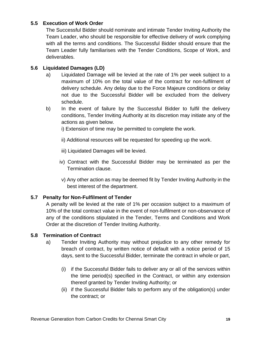## <span id="page-18-0"></span>**5.5 Execution of Work Order**

The Successful Bidder should nominate and intimate Tender Inviting Authority the Team Leader, who should be responsible for effective delivery of work complying with all the terms and conditions. The Successful Bidder should ensure that the Team Leader fully familiarises with the Tender Conditions, Scope of Work, and deliverables.

## <span id="page-18-1"></span>**5.6 Liquidated Damages (LD)**

- a) Liquidated Damage will be levied at the rate of 1% per week subject to a maximum of 10% on the total value of the contract for non-fulfilment of delivery schedule. Any delay due to the Force Majeure conditions or delay not due to the Successful Bidder will be excluded from the delivery schedule.
- b) In the event of failure by the Successful Bidder to fulfil the delivery conditions, Tender Inviting Authority at its discretion may initiate any of the actions as given below.

i) Extension of time may be permitted to complete the work.

- ii) Additional resources will be requested for speeding up the work.
- iii) Liquidated Damages will be levied.
- iv) Contract with the Successful Bidder may be terminated as per the Termination clause.
- v) Any other action as may be deemed fit by Tender Inviting Authority in the best interest of the department.

## <span id="page-18-2"></span>**5.7 Penalty for Non-Fulfilment of Tender**

A penalty will be levied at the rate of 1% per occasion subject to a maximum of 10% of the total contract value in the event of non-fulfilment or non-observance of any of the conditions stipulated in the Tender, Terms and Conditions and Work Order at the discretion of Tender Inviting Authority.

## <span id="page-18-3"></span>**5.8 Termination of Contract**

- a) Tender Inviting Authority may without prejudice to any other remedy for breach of contract, by written notice of default with a notice period of 15 days, sent to the Successful Bidder, terminate the contract in whole or part,
	- (i) if the Successful Bidder fails to deliver any or all of the services within the time period(s) specified in the Contract, or within any extension thereof granted by Tender Inviting Authority; or
	- (ii) if the Successful Bidder fails to perform any of the obligation(s) under the contract; or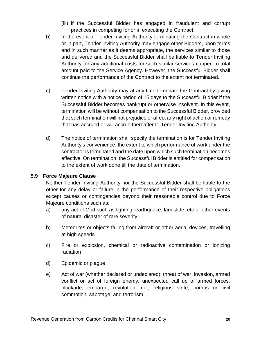- (iii) if the Successful Bidder has engaged in fraudulent and corrupt practices in competing for or in executing the Contract.
- b) In the event of Tender Inviting Authority terminating the Contract in whole or in part, Tender Inviting Authority may engage other Bidders, upon terms and in such manner as it deems appropriate, the services similar to those and delivered and the Successful Bidder shall be liable to Tender Inviting Authority for any additional costs for such similar services capped to total amount paid to the Service Agency. However, the Successful Bidder shall continue the performance of the Contract to the extent not terminated.
- c) Tender Inviting Authority may at any time terminate the Contract by giving written notice with a notice period of 15 days to the Successful Bidder if the Successful Bidder becomes bankrupt or otherwise insolvent. In this event, termination will be without compensation to the Successful Bidder, provided that such termination will not prejudice or affect any right of action or remedy that has accrued or will accrue thereafter to Tender Inviting Authority.
- d) The notice of termination shall specify the termination is for Tender Inviting Authority's convenience, the extent to which performance of work under the contractor is terminated and the date upon which such termination becomes effective. On termination, the Successful Bidder is entitled for compensation to the extent of work done till the date of termination.

#### <span id="page-19-0"></span>**5.9 Force Majeure Clause**

Neither Tender Inviting Authority nor the Successful Bidder shall be liable to the other for any delay or failure in the performance of their respective obligations except causes or contingencies beyond their reasonable control due to Force Majeure conditions such as:

- a) any act of God such as lighting, earthquake, landslide, etc or other events of natural disaster of rare severity
- b) Meteorites or objects falling from aircraft or other aerial devices, travelling at high speeds
- c) Fire or explosion, chemical or radioactive contamination or ionizing radiation
- d) Epidemic or plague
- e) Act of war (whether declared or undeclared), threat of war, invasion, armed conflict or act of foreign enemy, unexpected call up of armed forces, blockade, embargo, revolution, riot, religious strife, bombs or civil commotion, sabotage, and terrorism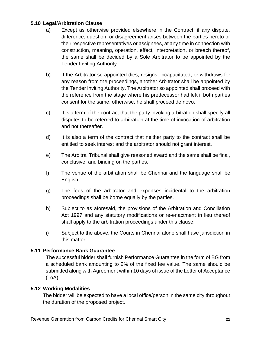#### <span id="page-20-0"></span>**5.10 Legal/Arbitration Clause**

- a) Except as otherwise provided elsewhere in the Contract, if any dispute, difference, question, or disagreement arises between the parties hereto or their respective representatives or assignees, at any time in connection with construction, meaning, operation, effect, interpretation, or breach thereof, the same shall be decided by a Sole Arbitrator to be appointed by the Tender Inviting Authority.
- b) If the Arbitrator so appointed dies, resigns, incapacitated, or withdraws for any reason from the proceedings, another Arbitrator shall be appointed by the Tender Inviting Authority. The Arbitrator so appointed shall proceed with the reference from the stage where his predecessor had left if both parties consent for the same, otherwise, he shall proceed de novo.
- c) It is a term of the contract that the party invoking arbitration shall specify all disputes to be referred to arbitration at the time of invocation of arbitration and not thereafter.
- d) It is also a term of the contract that neither party to the contract shall be entitled to seek interest and the arbitrator should not grant interest.
- e) The Arbitral Tribunal shall give reasoned award and the same shall be final, conclusive, and binding on the parties.
- f) The venue of the arbitration shall be Chennai and the language shall be English.
- g) The fees of the arbitrator and expenses incidental to the arbitration proceedings shall be borne equally by the parties.
- h) Subject to as aforesaid, the provisions of the Arbitration and Conciliation Act 1997 and any statutory modifications or re-enactment in lieu thereof shall apply to the arbitration proceedings under this clause.
- i) Subject to the above, the Courts in Chennai alone shall have jurisdiction in this matter.

## <span id="page-20-1"></span>**5.11 Performance Bank Guarantee**

The successful bidder shall furnish Performance Guarantee in the form of BG from a scheduled bank amounting to 2% of the fixed fee value. The same should be submitted along with Agreement within 10 days of issue of the Letter of Acceptance (LoA).

#### <span id="page-20-2"></span>**5.12 Working Modalities**

The bidder will be expected to have a local office/person in the same city throughout the duration of the proposed project.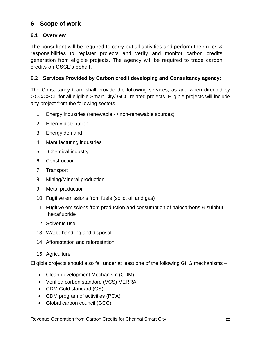# <span id="page-21-0"></span>**6 Scope of work**

## <span id="page-21-1"></span>**6.1 Overview**

The consultant will be required to carry out all activities and perform their roles & responsibilities to register projects and verify and monitor carbon credits generation from eligible projects. The agency will be required to trade carbon credits on CSCL's behalf.

## <span id="page-21-2"></span>**6.2 Services Provided by Carbon credit developing and Consultancy agency:**

The Consultancy team shall provide the following services, as and when directed by GCC/CSCL for all eligible Smart City/ GCC related projects. Eligible projects will include any project from the following sectors –

- 1. Energy industries (renewable / non-renewable sources)
- 2. Energy distribution
- 3. Energy demand
- 4. Manufacturing industries
- 5. Chemical industry
- 6. Construction
- 7. Transport
- 8. Mining/Mineral production
- 9. Metal production
- 10. Fugitive emissions from fuels (solid, oil and gas)
- 11. Fugitive emissions from production and consumption of halocarbons & sulphur hexafluoride
- 12. Solvents use
- 13. Waste handling and disposal
- 14. Afforestation and reforestation
- 15. Agriculture

Eligible projects should also fall under at least one of the following GHG mechanisms –

- Clean development Mechanism (CDM)
- Verified carbon standard (VCS)-VERRA
- CDM Gold standard (GS)
- CDM program of activities (POA)
- Global carbon council (GCC)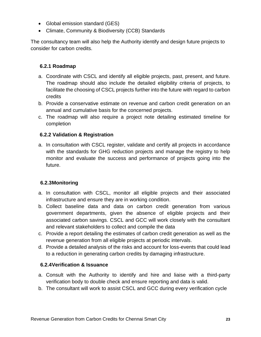- Global emission standard (GES)
- Climate, Community & Biodiversity (CCB) Standards

The consultancy team will also help the Authority identify and design future projects to consider for carbon credits.

## <span id="page-22-0"></span>**6.2.1 Roadmap**

- a. Coordinate with CSCL and identify all eligible projects, past, present, and future. The roadmap should also include the detailed eligibility criteria of projects, to facilitate the choosing of CSCL projects further into the future with regard to carbon credits
- b. Provide a conservative estimate on revenue and carbon credit generation on an annual and cumulative basis for the concerned projects.
- c. The roadmap will also require a project note detailing estimated timeline for completion

## <span id="page-22-1"></span>**6.2.2 Validation & Registration**

a. In consultation with CSCL register, validate and certify all projects in accordance with the standards for GHG reduction projects and manage the registry to help monitor and evaluate the success and performance of projects going into the future.

## <span id="page-22-2"></span>**6.2.3Monitoring**

- a. In consultation with CSCL, monitor all eligible projects and their associated infrastructure and ensure they are in working condition.
- b. Collect baseline data and data on carbon credit generation from various government departments, given the absence of eligible projects and their associated carbon savings. CSCL and GCC will work closely with the consultant and relevant stakeholders to collect and compile the data
- c. Provide a report detailing the estimates of carbon credit generation as well as the revenue generation from all eligible projects at periodic intervals.
- d. Provide a detailed analysis of the risks and account for loss-events that could lead to a reduction in generating carbon credits by damaging infrastructure.

## <span id="page-22-3"></span>**6.2.4Verification & Issuance**

- a. Consult with the Authority to identify and hire and liaise with a third-party verification body to double check and ensure reporting and data is valid.
- b. The consultant will work to assist CSCL and GCC during every verification cycle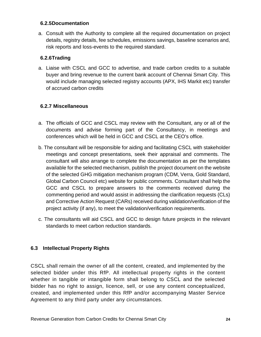#### <span id="page-23-0"></span>**6.2.5Documentation**

a. Consult with the Authority to complete all the required documentation on project details, registry details, fee schedules, emissions savings, baseline scenarios and, risk reports and loss-events to the required standard.

## <span id="page-23-1"></span>**6.2.6Trading**

a. Liaise with CSCL and GCC to advertise, and trade carbon credits to a suitable buyer and bring revenue to the current bank account of Chennai Smart City. This would include managing selected registry accounts (APX, IHS Markit etc) transfer of accrued carbon credits

## <span id="page-23-2"></span>**6.2.7 Miscellaneous**

- a. The officials of GCC and CSCL may review with the Consultant, any or all of the documents and advise forming part of the Consultancy, in meetings and conferences which will be held in GCC and CSCL at the CEO's office.
- b. The consultant will be responsible for aiding and facilitating CSCL with stakeholder meetings and concept presentations, seek their appraisal and comments. The consultant will also arrange to complete the documentation as per the templates available for the selected mechanism, publish the project document on the website of the selected GHG mitigation mechanism program (CDM, Verra, Gold Standard, Global Carbon Council etc) website for public comments. Consultant shall help the GCC and CSCL to prepare answers to the comments received during the commenting period and would assist in addressing the clarification requests (CLs) and Corrective Action Request (CARs) received during validation/verification of the project activity (if any), to meet the validation/verification requirements.
- c. The consultants will aid CSCL and GCC to design future projects in the relevant standards to meet carbon reduction standards.

## <span id="page-23-3"></span>**6.3 Intellectual Property Rights**

CSCL shall remain the owner of all the content, created, and implemented by the selected bidder under this RfP. All intellectual property rights in the content whether in tangible or intangible form shall belong to CSCL and the selected bidder has no right to assign, licence, sell, or use any content conceptualized, created, and implemented under this RfP and/or accompanying Master Service Agreement to any third party under any circumstances.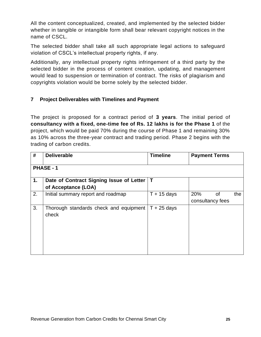All the content conceptualized, created, and implemented by the selected bidder whether in tangible or intangible form shall bear relevant copyright notices in the name of CSCL.

The selected bidder shall take all such appropriate legal actions to safeguard violation of CSCL's intellectual property rights, if any.

Additionally, any intellectual property rights infringement of a third party by the selected bidder in the process of content creation, updating, and management would lead to suspension or termination of contract. The risks of plagiarism and copyrights violation would be borne solely by the selected bidder.

## <span id="page-24-0"></span>**7 Project Deliverables with Timelines and Payment**

The project is proposed for a contract period of **3 years**. The initial period of **consultancy with a fixed, one-time fee of Rs. 12 lakhs is for the Phase 1** of the project, which would be paid 70% during the course of Phase 1 and remaining 30% as 10% across the three-year contract and trading period. Phase 2 begins with the trading of carbon credits.

| #  | <b>Deliverable</b>                                              | <b>Timeline</b> | <b>Payment Terms</b>          |     |  |
|----|-----------------------------------------------------------------|-----------------|-------------------------------|-----|--|
|    | PHASE - 1                                                       |                 |                               |     |  |
| 1. | Date of Contract Signing Issue of Letter<br>of Acceptance (LOA) | Т               |                               |     |  |
| 2. | Initial summary report and roadmap                              | $T + 15$ days   | 20%<br>0f<br>consultancy fees | the |  |
| 3. | Thorough standards check and equipment<br>check                 | $T + 25$ days   |                               |     |  |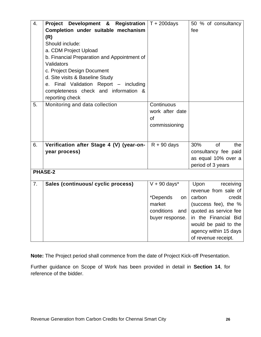| 4. | <b>Project Development &amp; Registration</b> $T + 200$ days |                             | 50 % of consultancy     |
|----|--------------------------------------------------------------|-----------------------------|-------------------------|
|    | Completion under suitable mechanism                          |                             | fee                     |
|    | (R)                                                          |                             |                         |
|    | Should include:                                              |                             |                         |
|    | a. CDM Project Upload                                        |                             |                         |
|    | b. Financial Preparation and Appointment of                  |                             |                         |
|    | Validators                                                   |                             |                         |
|    | c. Project Design Document                                   |                             |                         |
|    | d. Site visits & Baseline Study                              |                             |                         |
|    | e. Final Validation Report - including                       |                             |                         |
|    | completeness check and information &                         |                             |                         |
|    | reporting check                                              |                             |                         |
| 5. | Monitoring and data collection                               | Continuous                  |                         |
|    |                                                              | work after date             |                         |
|    |                                                              | <b>of</b>                   |                         |
|    |                                                              | commissioning               |                         |
|    |                                                              |                             |                         |
|    |                                                              |                             |                         |
| 6. | Verification after Stage 4 (V) (year-on-                     | $R + 90$ days               | 30%<br><b>of</b><br>the |
|    | year process)                                                |                             | consultancy fee paid    |
|    |                                                              |                             | as equal 10% over a     |
|    |                                                              |                             | period of 3 years       |
|    | <b>PHASE-2</b>                                               |                             |                         |
| 7. | Sales (continuous/ cyclic process)                           | $V + 90$ days*              | Upon<br>receiving       |
|    |                                                              |                             | revenue from sale of    |
|    |                                                              | *Depends<br>on <sub>1</sub> | carbon<br>credit        |
|    |                                                              | market                      | (success fee), the %    |
|    |                                                              | conditions and              | quoted as service fee   |
|    |                                                              | buyer response.             | in the Financial Bid    |
|    |                                                              |                             | would be paid to the    |
|    |                                                              |                             | agency within 15 days   |
|    |                                                              |                             | of revenue receipt.     |

**Note:** The Project period shall commence from the date of Project Kick-off Presentation.

Further guidance on Scope of Work has been provided in detail in **Section 14**, for reference of the bidder.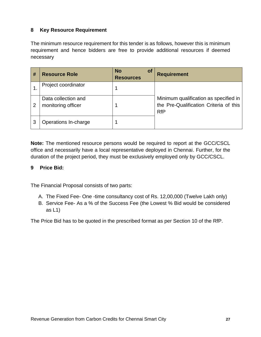## <span id="page-26-0"></span>**8 Key Resource Requirement**

The minimum resource requirement for this tender is as follows, however this is minimum requirement and hence bidders are free to provide additional resources if deemed necessary

| # | <b>Resource Role</b>                      | <b>No</b><br><b>of</b><br><b>Resources</b> | <b>Requirement</b>                                                                            |
|---|-------------------------------------------|--------------------------------------------|-----------------------------------------------------------------------------------------------|
|   | Project coordinator                       |                                            |                                                                                               |
| 2 | Data collection and<br>monitoring officer |                                            | Minimum qualification as specified in<br>the Pre-Qualification Criteria of this<br><b>RfP</b> |
| 3 | Operations In-charge                      |                                            |                                                                                               |

**Note:** The mentioned resource persons would be required to report at the GCC/CSCL office and necessarily have a local representative deployed in Chennai. Further, for the duration of the project period, they must be exclusively employed only by GCC/CSCL.

#### <span id="page-26-1"></span>**9 Price Bid:**

The Financial Proposal consists of two parts:

- A. The Fixed Fee- One -time consultancy cost of Rs. 12,00,000 (Twelve Lakh only)
- B. Service Fee- As a % of the Success Fee (the Lowest % Bid would be considered as  $L1$ )

The Price Bid has to be quoted in the prescribed format as per Section 10 of the RfP.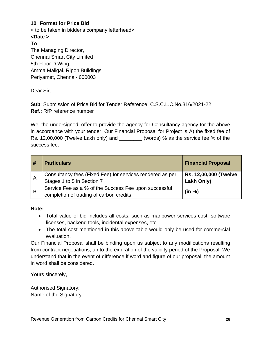## <span id="page-27-0"></span>**10 Format for Price Bid**

< to be taken in bidder's company letterhead>

#### **<Date >**

#### **To**

The Managing Director, Chennai Smart City Limited 5th Floor D Wing, Amma Maligai, Ripon Buildings, Periyamet, Chennai- 600003

Dear Sir,

**Sub**: Submission of Price Bid for Tender Reference: C.S.C.L.C.No.316/2021-22 **Ref.:** RfP reference number

We, the undersigned, offer to provide the agency for Consultancy agency for the above in accordance with your tender. Our Financial Proposal for Project is A) the fixed fee of Rs. 12,00,000 (Twelve Lakh only) and \_\_\_\_\_\_\_\_ (words) % as the service fee % of the success fee.

|              | <b>Particulars</b>                                                                               | <b>Financial Proposal</b>           |
|--------------|--------------------------------------------------------------------------------------------------|-------------------------------------|
| $\mathsf{A}$ | Consultancy fees (Fixed Fee) for services rendered as per<br>Stages 1 to 5 in Section 7          | Rs. 12,00,000 (Twelve<br>Lakh Only) |
| B            | Service Fee as a % of the Success Fee upon successful<br>completion of trading of carbon credits | (in %)                              |

**Note:**

- Total value of bid includes all costs, such as manpower services cost, software licenses, backend tools, incidental expenses, etc.
- The total cost mentioned in this above table would only be used for commercial evaluation.

Our Financial Proposal shall be binding upon us subject to any modifications resulting from contract negotiations, up to the expiration of the validity period of the Proposal. We understand that in the event of difference if word and figure of our proposal, the amount in word shall be considered.

Yours sincerely,

Authorised Signatory: Name of the Signatory: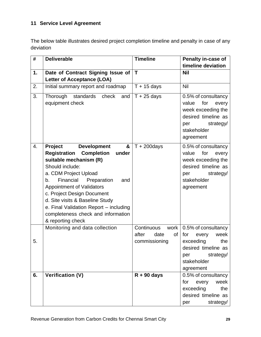# <span id="page-28-0"></span>**11 Service Level Agreement**

The below table illustrates desired project completion timeline and penalty in case of any deviation

| #  | <b>Deliverable</b>                                                                                                                                                                                                                                                                                                                                                         | <b>Timeline</b>                                            | Penalty in-case of                                                                                                                        |  |  |
|----|----------------------------------------------------------------------------------------------------------------------------------------------------------------------------------------------------------------------------------------------------------------------------------------------------------------------------------------------------------------------------|------------------------------------------------------------|-------------------------------------------------------------------------------------------------------------------------------------------|--|--|
|    |                                                                                                                                                                                                                                                                                                                                                                            |                                                            | timeline deviation                                                                                                                        |  |  |
| 1. | Date of Contract Signing Issue of<br><b>Letter of Acceptance (LOA)</b>                                                                                                                                                                                                                                                                                                     | T                                                          | <b>Nil</b>                                                                                                                                |  |  |
| 2. | Initial summary report and roadmap                                                                                                                                                                                                                                                                                                                                         | $T + 15$ days                                              | Nil                                                                                                                                       |  |  |
| 3. | Thorough<br>standards<br>check<br>and<br>equipment check                                                                                                                                                                                                                                                                                                                   | $T + 25$ days                                              | 0.5% of consultancy<br>value<br>for<br>every<br>week exceeding the<br>desired timeline as<br>strategy/<br>per<br>stakeholder<br>agreement |  |  |
| 4. | <b>Development</b><br>&<br><b>Project</b>                                                                                                                                                                                                                                                                                                                                  | $T + 200$ days                                             | 0.5% of consultancy                                                                                                                       |  |  |
|    | <b>Completion</b><br><b>Registration</b><br>under<br>suitable mechanism (R)<br>Should include:<br>a. CDM Project Upload<br>Financial<br>Preparation<br>and<br>b.<br><b>Appointment of Validators</b><br>c. Project Design Document<br>d. Site visits & Baseline Study<br>e. Final Validation Report - including<br>completeness check and information<br>& reporting check |                                                            | for<br>value<br>every<br>week exceeding the<br>desired timeline as<br>strategy/<br>per<br>stakeholder<br>agreement                        |  |  |
| 5. | Monitoring and data collection                                                                                                                                                                                                                                                                                                                                             | Continuous<br>work<br>after<br>of<br>date<br>commissioning | 0.5% of consultancy<br>for<br>week<br>every<br>exceeding<br>the<br>desired timeline as<br>strategy/<br>per<br>stakeholder<br>agreement    |  |  |
| 6. | <b>Verification (V)</b>                                                                                                                                                                                                                                                                                                                                                    | $R + 90$ days                                              | 0.5% of consultancy<br>every<br>week<br>for<br>exceeding<br>the<br>desired timeline as<br>strategy/<br>per                                |  |  |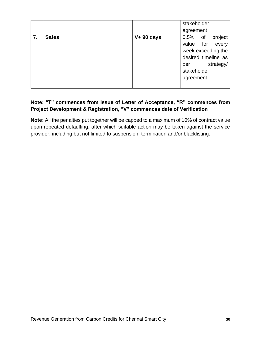|    |              |             | stakeholder                                                                                                                                 |  |  |
|----|--------------|-------------|---------------------------------------------------------------------------------------------------------------------------------------------|--|--|
|    |              |             | agreement                                                                                                                                   |  |  |
| 7. | <b>Sales</b> | $V+90$ days | project<br>$0.5\%$<br>of<br>value for<br>every<br>week exceeding the<br>desired timeline as<br>strategy/<br>per<br>stakeholder<br>agreement |  |  |
|    |              |             |                                                                                                                                             |  |  |

## **Note: "T" commences from issue of Letter of Acceptance, "R" commences from Project Development & Registration, "V" commences date of Verification**

**Note:** All the penalties put together will be capped to a maximum of 10% of contract value upon repeated defaulting, after which suitable action may be taken against the service provider, including but not limited to suspension, termination and/or blacklisting.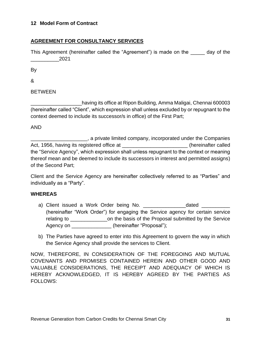#### <span id="page-30-0"></span>**12 Model Form of Contract**

## **AGREEMENT FOR CONSULTANCY SERVICES**

This Agreement (hereinafter called the "Agreement") is made on the \_\_\_\_\_ day of the  $2021$ 

By

&

BETWEEN

\_\_\_\_\_\_\_\_\_\_\_\_\_\_\_\_\_\_having its office at Ripon Building, Amma Maligai, Chennai 600003 (hereinafter called "Client", which expression shall unless excluded by or repugnant to the context deemed to include its successor/s in office) of the First Part;

#### AND

\_\_\_\_\_\_\_\_\_\_\_\_\_\_\_\_\_\_\_\_, a private limited company, incorporated under the Companies Act, 1956, having its registered office at \_\_\_\_\_\_\_\_\_\_\_\_\_\_\_\_\_\_\_\_\_\_\_\_\_\_(hereinafter called the "Service Agency", which expression shall unless repugnant to the context or meaning thereof mean and be deemed to include its successors in interest and permitted assigns) of the Second Part;

Client and the Service Agency are hereinafter collectively referred to as "Parties" and individually as a "Party".

#### **WHEREAS**

- a) Client issued a Work Order being No. <br>
and the dated the dated the work of the being No. The date of the dated the state of the state of the state o (hereinafter "Work Order") for engaging the Service agency for certain service relating to \_\_\_\_\_\_\_\_\_\_\_\_\_on the basis of the Proposal submitted by the Service Agency on \_\_\_\_\_\_\_\_\_\_\_\_\_\_ (hereinafter "Proposal");
- b) The Parties have agreed to enter into this Agreement to govern the way in which the Service Agency shall provide the services to Client.

NOW, THEREFORE, IN CONSIDERATION OF THE FOREGOING AND MUTUAL COVENANTS AND PROMISES CONTAINED HEREIN AND OTHER GOOD AND VALUABLE CONSIDERATIONS, THE RECEIPT AND ADEQUACY OF WHICH IS HEREBY ACKNOWLEDGED, IT IS HEREBY AGREED BY THE PARTIES AS FOLLOWS: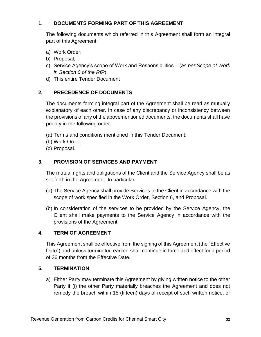## **1. DOCUMENTS FORMING PART OF THIS AGREEMENT**

The following documents which referred in this Agreement shall form an integral part of this Agreement:

- a) Work Order;
- b) Proposal;
- c) Service Agency's scope of Work and Responsibilities (*as per Scope of Work in Section 6 of the RfP*)
- d) This entire Tender Document

## **2. PRECEDENCE OF DOCUMENTS**

The documents forming integral part of the Agreement shall be read as mutually explanatory of each other. In case of any discrepancy or inconsistency between the provisions of any of the abovementioned documents, the documents shall have priority in the following order:

- (a) Terms and conditions mentioned in this Tender Document;
- (b) Work Order;
- (c) Proposal.

## **3. PROVISION OF SERVICES AND PAYMENT**

The mutual rights and obligations of the Client and the Service Agency shall be as set forth in the Agreement. In particular:

- (a) The Service Agency shall provide Services to the Client in accordance with the scope of work specified in the Work Order, Section 6, and Proposal.
- (b) In consideration of the services to be provided by the Service Agency, the Client shall make payments to the Service Agency in accordance with the provisions of the Agreement.

## **4. TERM OF AGREEMENT**

This Agreement shall be effective from the signing of this Agreement (the "Effective Date") and unless terminated earlier, shall continue in force and effect for a period of 36 months from the Effective Date.

#### **5. TERMINATION**

a) Either Party may terminate this Agreement by giving written notice to the other Party if (i) the other Party materially breaches the Agreement and does not remedy the breach within 15 (fifteen) days of receipt of such written notice, or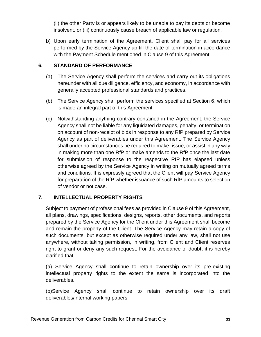(ii) the other Party is or appears likely to be unable to pay its debts or become insolvent, or (iii) continuously cause breach of applicable law or regulation.

b) Upon early termination of the Agreement, Client shall pay for all services performed by the Service Agency up till the date of termination in accordance with the Payment Schedule mentioned in Clause 9 of this Agreement.

## **6. STANDARD OF PERFORMANCE**

- (a) The Service Agency shall perform the services and carry out its obligations hereunder with all due diligence, efficiency, and economy, in accordance with generally accepted professional standards and practices.
- (b) The Service Agency shall perform the services specified at Section 6, which is made an integral part of this Agreement
- (c) Notwithstanding anything contrary contained in the Agreement, the Service Agency shall not be liable for any liquidated damages, penalty, or termination on account of non-receipt of bids in response to any RfP prepared by Service Agency as part of deliverables under this Agreement. The Service Agency shall under no circumstances be required to make, issue, or assist in any way in making more than one RfP or make amends to the RfP once the last date for submission of response to the respective RfP has elapsed unless otherwise agreed by the Service Agency in writing on mutually agreed terms and conditions. It is expressly agreed that the Client will pay Service Agency for preparation of the RfP whether issuance of such RfP amounts to selection of vendor or not case.

## **7. INTELLECTUAL PROPERTY RIGHTS**

Subject to payment of professional fees as provided in Clause 9 of this Agreement, all plans, drawings, specifications, designs, reports, other documents, and reports prepared by the Service Agency for the Client under this Agreement shall become and remain the property of the Client. The Service Agency may retain a copy of such documents, but except as otherwise required under any law, shall not use anywhere, without taking permission, in writing, from Client and Client reserves right to grant or deny any such request. For the avoidance of doubt, it is hereby clarified that

(a) Service Agency shall continue to retain ownership over its pre-existing intellectual property rights to the extent the same is incorporated into the deliverables.

(b)Service Agency shall continue to retain ownership over its draft deliverables/internal working papers;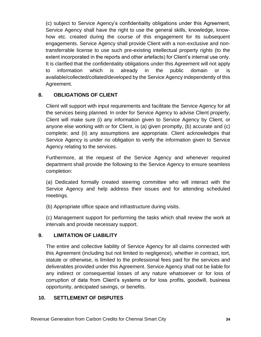(c) subject to Service Agency's confidentiality obligations under this Agreement, Service Agency shall have the right to use the general skills, knowledge, knowhow etc. created during the course of this engagement for its subsequent engagements. Service Agency shall provide Client with a non-exclusive and nontransferrable license to use such pre-existing intellectual property rights (to the extent incorporated in the reports and other artefacts) for Client's internal use only. It is clarified that the confidentiality obligations under this Agreement will not apply to information which is already in the public domain or is available/collected/collated/developed by the Service Agency independently of this Agreement.

## **8. OBLIGATIONS OF CLIENT**

Client will support with input requirements and facilitate the Service Agency for all the services being planned. In order for Service Agency to advise Client properly, Client will make sure (i) any information given to Service Agency by Client, or anyone else working with or for Client, is (a) given promptly, (b) accurate and (c) complete; and (ii) any assumptions are appropriate. Client acknowledges that Service Agency is under no obligation to verify the information given to Service Agency relating to the services.

Furthermore, at the request of the Service Agency and whenever required department shall provide the following to the Service Agency to ensure seamless completion:

(a) Dedicated formally created steering committee who will interact with the Service Agency and help address their issues and for attending scheduled meetings.

(b) Appropriate office space and infrastructure during visits.

(c) Management support for performing the tasks which shall review the work at intervals and provide necessary support.

## **9. LIMITATION OF LIABILITY**

The entire and collective liability of Service Agency for all claims connected with this Agreement (including but not limited to negligence), whether in contract, tort, statute or otherwise, is limited to the professional fees paid for the services and deliverables provided under this Agreement. Service Agency shall not be liable for any indirect or consequential losses of any nature whatsoever or for loss of corruption of data from Client's systems or for loss profits, goodwill, business opportunity, anticipated savings, or benefits.

## **10. SETTLEMENT OF DISPUTES**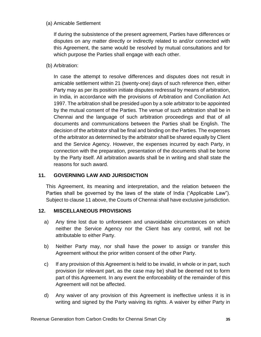#### (a) Amicable Settlement

If during the subsistence of the present agreement, Parties have differences or disputes on any matter directly or indirectly related to and/or connected with this Agreement, the same would be resolved by mutual consultations and for which purpose the Parties shall engage with each other.

(b) Arbitration:

In case the attempt to resolve differences and disputes does not result in amicable settlement within 21 (twenty-one) days of such reference then, either Party may as per its position initiate disputes redressal by means of arbitration, in India, in accordance with the provisions of Arbitration and Conciliation Act 1997. The arbitration shall be presided upon by a sole arbitrator to be appointed by the mutual consent of the Parties. The venue of such arbitration shall be in Chennai and the language of such arbitration proceedings and that of all documents and communications between the Parties shall be English. The decision of the arbitrator shall be final and binding on the Parties. The expenses of the arbitrator as determined by the arbitrator shall be shared equally by Client and the Service Agency. However, the expenses incurred by each Party, in connection with the preparation, presentation of the documents shall be borne by the Party itself. All arbitration awards shall be in writing and shall state the reasons for such award.

## **11. GOVERNING LAW AND JURISDICTION**

This Agreement, its meaning and interpretation, and the relation between the Parties shall be governed by the laws of the state of India ("Applicable Law"). Subject to clause 11 above, the Courts of Chennai shall have exclusive jurisdiction.

## **12. MISCELLANEOUS PROVISIONS**

- a) Any time lost due to unforeseen and unavoidable circumstances on which neither the Service Agency nor the Client has any control, will not be attributable to either Party.
- b) Neither Party may, nor shall have the power to assign or transfer this Agreement without the prior written consent of the other Party.
- c) If any provision of this Agreement is held to be invalid, in whole or in part, such provision (or relevant part, as the case may be) shall be deemed not to form part of this Agreement. In any event the enforceability of the remainder of this Agreement will not be affected.
- d) Any waiver of any provision of this Agreement is ineffective unless it is in writing and signed by the Party waiving its rights. A waiver by either Party in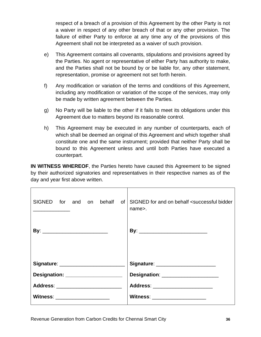respect of a breach of a provision of this Agreement by the other Party is not a waiver in respect of any other breach of that or any other provision. The failure of either Party to enforce at any time any of the provisions of this Agreement shall not be interpreted as a waiver of such provision.

- e) This Agreement contains all covenants, stipulations and provisions agreed by the Parties. No agent or representative of either Party has authority to make, and the Parties shall not be bound by or be liable for, any other statement, representation, promise or agreement not set forth herein.
- f) Any modification or variation of the terms and conditions of this Agreement, including any modification or variation of the scope of the services, may only be made by written agreement between the Parties.
- g) No Party will be liable to the other if it fails to meet its obligations under this Agreement due to matters beyond its reasonable control.
- h) This Agreement may be executed in any number of counterparts, each of which shall be deemed an original of this Agreement and which together shall constitute one and the same instrument; provided that neither Party shall be bound to this Agreement unless and until both Parties have executed a counterpart.

**IN WITNESS WHEREOF**, the Parties hereto have caused this Agreement to be signed by their authorized signatories and representatives in their respective names as of the day and year first above written.

| SIGNED for and on behalf of        | SIGNED for and on behalf <successful bidder<br="">name&gt;.</successful> |
|------------------------------------|--------------------------------------------------------------------------|
|                                    |                                                                          |
|                                    | Signature: ________________________                                      |
| Designation: _____________________ | Designation: ____________________                                        |
|                                    | Address: _________________________                                       |
| Witness: _____________________     | Witness: _____________________                                           |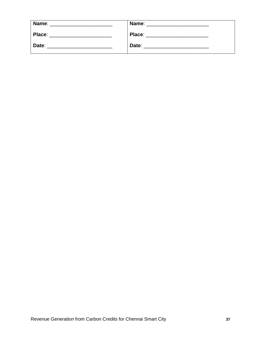| Name:  | Name:  |
|--------|--------|
| Place: | Place: |
| Date:  | Date:  |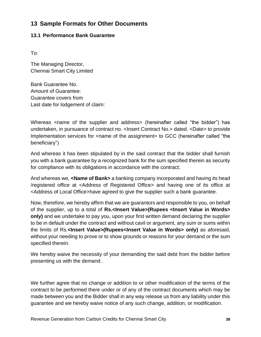## <span id="page-37-0"></span>**13 Sample Formats for Other Documents**

## <span id="page-37-1"></span>**13.1 Performance Bank Guarantee**

To:

The Managing Director, Chennai Smart City Limited

Bank Guarantee No. Amount of Guarantee: Guarantee covers from Last date for lodgement of claim:

Whereas <name of the supplier and address> (hereinafter called "the bidder") has undertaken, in pursuance of contract no. <Insert Contract No.> dated. <Date> to provide Implementation services for <name of the assignment> to GCC (hereinafter called "the beneficiary")

And whereas it has been stipulated by in the said contract that the bidder shall furnish you with a bank guarantee by a recognized bank for the sum specified therein as security for compliance with its obligations in accordance with the contract;

And whereas we, **<Name of Bank>** a banking company incorporated and having its head /registered office at <Address of Registered Office> and having one of its office at <Address of Local Office>have agreed to give the supplier such a bank guarantee.

Now, therefore, we hereby affirm that we are guarantors and responsible to you, on behalf of the supplier, up to a total of **Rs.<Insert Value>(Rupees <Insert Value in Words> only)** and we undertake to pay you, upon your first written demand declaring the supplier to be in default under the contract and without cavil or argument, any sum or sums within the limits of Rs.**<Insert Value>(Rupees<Insert Value in Words> only)** as aforesaid, without your needing to prove or to show grounds or reasons for your demand or the sum specified therein.

We hereby waive the necessity of your demanding the said debt from the bidder before presenting us with the demand.

We further agree that no change or addition to or other modification of the terms of the contract to be performed there under or of any of the contract documents which may be made between you and the Bidder shall in any way release us from any liability under this guarantee and we hereby waive notice of any such change, addition, or modification.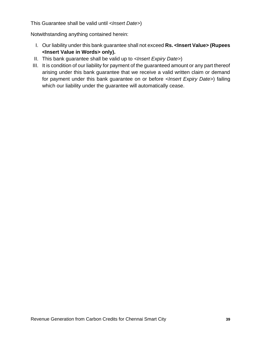This Guarantee shall be valid until *<Insert Date>*)

Notwithstanding anything contained herein:

- I. Our liability under this bank guarantee shall not exceed **Rs. <Insert Value> (Rupees <Insert Value in Words> only).**
- II. This bank guarantee shall be valid up to *<Insert Expiry Date>*)
- III. It is condition of our liability for payment of the guaranteed amount or any part thereof arising under this bank guarantee that we receive a valid written claim or demand for payment under this bank guarantee on or before *<Insert Expiry Date>*) failing which our liability under the guarantee will automatically cease.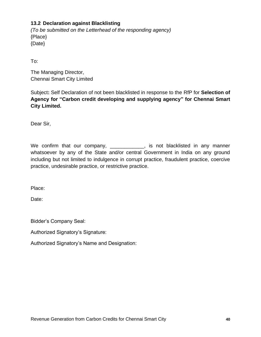## <span id="page-39-0"></span>**13.2 Declaration against Blacklisting**

*(To be submitted on the Letterhead of the responding agency)* {Place} {Date}

To:

The Managing Director, Chennai Smart City Limited

Subject**:** Self Declaration of not been blacklisted in response to the RfP for **Selection of Agency for "Carbon credit developing and supplying agency" for Chennai Smart City Limited.**

Dear Sir,

We confirm that our company, \_\_\_\_\_\_\_\_\_\_\_\_, is not blacklisted in any manner whatsoever by any of the State and/or central Government in India on any ground including but not limited to indulgence in corrupt practice, fraudulent practice, coercive practice, undesirable practice, or restrictive practice.

Place:

Date:

Bidder's Company Seal:

Authorized Signatory's Signature:

Authorized Signatory's Name and Designation: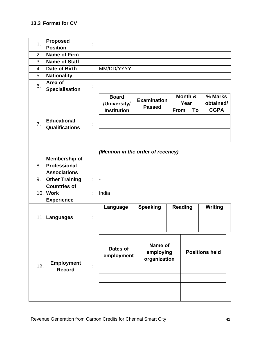<span id="page-40-0"></span>

| 1.  | Proposed<br>Position                 |   |                                   |                                      |                 |    |                       |
|-----|--------------------------------------|---|-----------------------------------|--------------------------------------|-----------------|----|-----------------------|
| 2.  | Name of Firm                         | ٠ |                                   |                                      |                 |    |                       |
| 3.  | Name of Staff                        | ٠ |                                   |                                      |                 |    |                       |
| 4.  | <b>Date of Birth</b>                 | t | MM/DD/YYYY                        |                                      |                 |    |                       |
| 5.  |                                      | ٠ |                                   |                                      |                 |    |                       |
|     | Nationality<br>Area of               |   |                                   |                                      |                 |    |                       |
| 6.  | <b>Specialisation</b>                | İ |                                   |                                      |                 |    |                       |
|     |                                      |   | <b>Board</b><br>/University/      | <b>Examination</b>                   | Month &<br>Year |    | % Marks<br>obtained/  |
|     |                                      |   | <b>Institution</b>                | <b>Passed</b>                        | <b>From</b>     | To | <b>CGPA</b>           |
| 7.  | <b>Educational</b><br>Qualifications |   |                                   |                                      |                 |    |                       |
|     |                                      |   | (Mention in the order of recency) |                                      |                 |    |                       |
| 8.  | Membership of<br>Professional        |   |                                   |                                      |                 |    |                       |
|     | <b>Associations</b>                  | t |                                   |                                      |                 |    |                       |
| 9.  | <b>Other Training</b>                | ÷ |                                   |                                      |                 |    |                       |
|     | <b>Countries of</b>                  |   |                                   |                                      |                 |    |                       |
|     | 10. Work<br><b>Experience</b>        | t | India                             |                                      |                 |    |                       |
|     |                                      |   | Language                          | <b>Speaking</b>                      | <b>Reading</b>  |    | <b>Writing</b>        |
|     | 11. Languages                        | t |                                   |                                      |                 |    |                       |
|     |                                      |   |                                   |                                      |                 |    |                       |
| 12. | <b>Employment</b><br><b>Record</b>   |   | Dates of<br>employment            | Name of<br>employing<br>organization |                 |    | <b>Positions held</b> |
|     |                                      |   |                                   |                                      |                 |    |                       |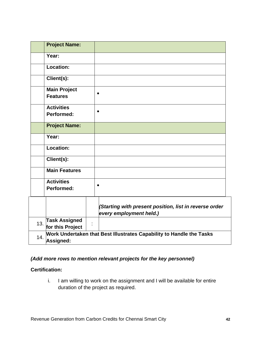|     | <b>Project Name:</b>                                                              |           |                                                                                   |
|-----|-----------------------------------------------------------------------------------|-----------|-----------------------------------------------------------------------------------|
|     | Year:                                                                             |           |                                                                                   |
|     | Location:                                                                         |           |                                                                                   |
|     | Client(s):                                                                        |           |                                                                                   |
|     | <b>Main Project</b><br><b>Features</b>                                            | $\bullet$ |                                                                                   |
|     | <b>Activities</b><br>Performed:                                                   | $\bullet$ |                                                                                   |
|     | <b>Project Name:</b>                                                              |           |                                                                                   |
|     | Year:                                                                             |           |                                                                                   |
|     | Location:                                                                         |           |                                                                                   |
|     | $\overline{\text{Client}}(s)$ :                                                   |           |                                                                                   |
|     | <b>Main Features</b>                                                              |           |                                                                                   |
|     | <b>Activities</b><br><b>Performed:</b>                                            | $\bullet$ |                                                                                   |
|     |                                                                                   |           | (Starting with present position, list in reverse order<br>every employment held.) |
|     | <b>Task Assigned</b><br>13. for this Project                                      |           |                                                                                   |
| 14. | Work Undertaken that Best Illustrates Capability to Handle the Tasks<br>Assigned: |           |                                                                                   |

## *(Add more rows to mention relevant projects for the key personnel)*

#### **Certification:**

i. I am willing to work on the assignment and I will be available for entire duration of the project as required.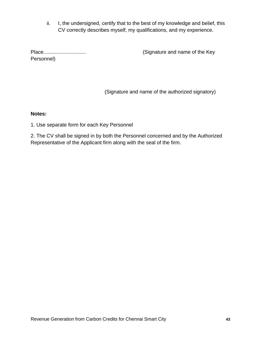ii. I, the undersigned, certify that to the best of my knowledge and belief, this CV correctly describes myself, my qualifications, and my experience.

Personnel)

Place.............................. (Signature and name of the Key

(Signature and name of the authorized signatory)

#### **Notes:**

1. Use separate form for each Key Personnel

2. The CV shall be signed in by both the Personnel concerned and by the Authorized Representative of the Applicant firm along with the seal of the firm.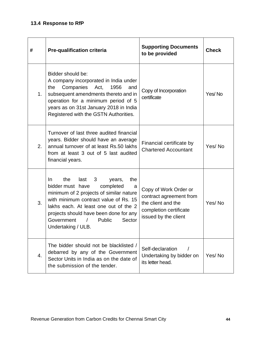# <span id="page-43-0"></span>**13.4 Response to RfP**

| #  | <b>Pre-qualification criteria</b>                                                                                                                                                                                                                                                                             | <b>Supporting Documents</b><br>to be provided                                                                            |        |
|----|---------------------------------------------------------------------------------------------------------------------------------------------------------------------------------------------------------------------------------------------------------------------------------------------------------------|--------------------------------------------------------------------------------------------------------------------------|--------|
| 1. | Bidder should be:<br>A company incorporated in India under<br>Companies<br>1956<br>and<br>the<br>Act,<br>subsequent amendments thereto and in<br>operation for a minimum period of 5<br>years as on 31st January 2018 in India<br>Registered with the GSTN Authorities.                                       | Copy of Incorporation<br>certificate                                                                                     | Yes/No |
| 2. | Turnover of last three audited financial<br>years. Bidder should have an average<br>annual turnover of at least Rs.50 lakhs<br>from at least 3 out of 5 last audited<br>financial years.                                                                                                                      | Financial certificate by<br><b>Chartered Accountant</b>                                                                  | Yes/No |
| 3. | the<br>last<br>3<br>the<br>In.<br>years,<br>bidder must have<br>completed<br>a<br>minimum of 2 projects of similar nature<br>with minimum contract value of Rs. 15<br>lakhs each. At least one out of the 2<br>projects should have been done for any<br>Government<br>Public<br>Sector<br>Undertaking / ULB. | Copy of Work Order or<br>contract agreement from<br>the client and the<br>completion certificate<br>issued by the client | Yes/No |
| 4. | The bidder should not be blacklisted /<br>debarred by any of the Government<br>Sector Units in India as on the date of<br>the submission of the tender.                                                                                                                                                       | Self-declaration<br>Undertaking by bidder on<br>its letter head.                                                         | Yes/No |